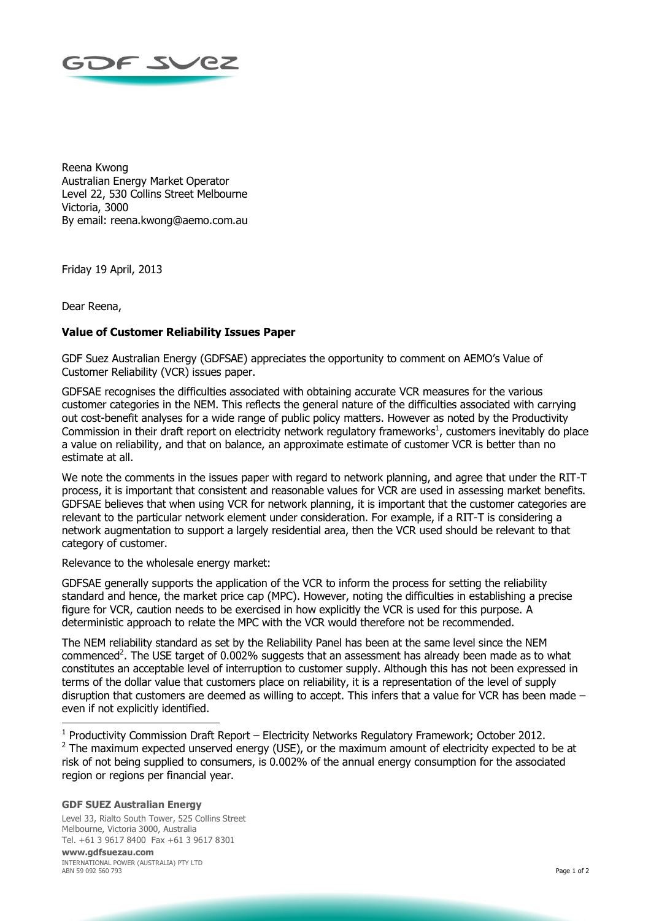

Reena Kwong Australian Energy Market Operator Level 22, 530 Collins Street Melbourne Victoria, 3000 By email: reena.kwong@aemo.com.au

Friday 19 April, 2013

Dear Reena,

## **Value of Customer Reliability Issues Paper**

GDF Suez Australian Energy (GDFSAE) appreciates the opportunity to comment on AEMO's Value of Customer Reliability (VCR) issues paper.

GDFSAE recognises the difficulties associated with obtaining accurate VCR measures for the various customer categories in the NEM. This reflects the general nature of the difficulties associated with carrying out cost-benefit analyses for a wide range of public policy matters. However as noted by the Productivity Commission in their draft report on electricity network regulatory frameworks $<sup>1</sup>$ , customers inevitably do place</sup> a value on reliability, and that on balance, an approximate estimate of customer VCR is better than no estimate at all.

We note the comments in the issues paper with regard to network planning, and agree that under the RIT-T process, it is important that consistent and reasonable values for VCR are used in assessing market benefits. GDFSAE believes that when using VCR for network planning, it is important that the customer categories are relevant to the particular network element under consideration. For example, if a RIT-T is considering a network augmentation to support a largely residential area, then the VCR used should be relevant to that category of customer.

Relevance to the wholesale energy market:

GDFSAE generally supports the application of the VCR to inform the process for setting the reliability standard and hence, the market price cap (MPC). However, noting the difficulties in establishing a precise figure for VCR, caution needs to be exercised in how explicitly the VCR is used for this purpose. A deterministic approach to relate the MPC with the VCR would therefore not be recommended.

The NEM reliability standard as set by the Reliability Panel has been at the same level since the NEM commenced<sup>2</sup>. The USE target of 0.002% suggests that an assessment has already been made as to what constitutes an acceptable level of interruption to customer supply. Although this has not been expressed in terms of the dollar value that customers place on reliability, it is a representation of the level of supply disruption that customers are deemed as willing to accept. This infers that a value for VCR has been made – even if not explicitly identified.

<sup>1</sup> Productivity Commission Draft Report – Electricity Networks Regulatory Framework; October 2012.  $2$  The maximum expected unserved energy (USE), or the maximum amount of electricity expected to be at risk of not being supplied to consumers, is 0.002% of the annual energy consumption for the associated region or regions per financial year.

## **GDF SUEZ Australian Energy**

-

Level 33, Rialto South Tower, 525 Collins Street Melbourne, Victoria 3000, Australia Tel. +61 3 9617 8400 Fax +61 3 9617 8301

**www.gdfsuezau.com** INTERNATIONAL POWER (AUSTRALIA) PTY LTD ABN 59 092 560 793 Page 1 of 2